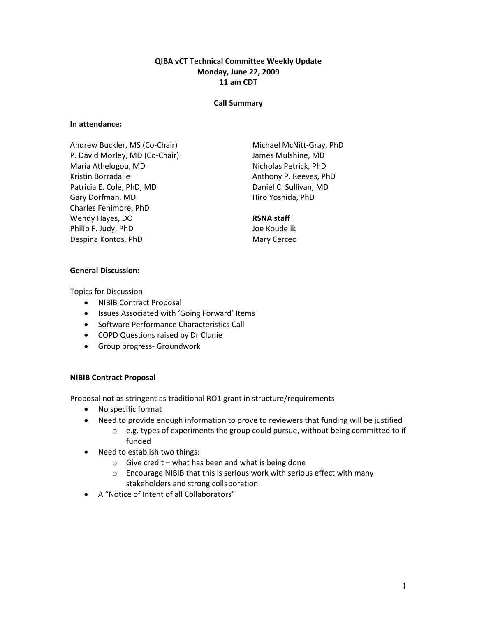## QIBA vCT Technical Committee Weekly Update Monday, June 22, 2009 11 am CDT

#### Call Summary

#### In attendance:

Andrew Buckler, MS (Co-Chair) P. David Mozley, MD (Co-Chair) Maria Athelogou, MD Kristin Borradaile Patricia E. Cole, PhD, MD Gary Dorfman, MD Charles Fenimore, PhD Wendy Hayes, DO Philip F. Judy, PhD Despina Kontos, PhD

Michael McNitt-Gray, PhD James Mulshine, MD Nicholas Petrick, PhD Anthony P. Reeves, PhD Daniel C. Sullivan, MD Hiro Yoshida, PhD

# RSNA staff

Joe Koudelik Mary Cerceo

#### General Discussion:

Topics for Discussion

- NIBIB Contract Proposal
- Issues Associated with 'Going Forward' Items
- Software Performance Characteristics Call
- COPD Questions raised by Dr Clunie
- Group progress- Groundwork

### NIBIB Contract Proposal

Proposal not as stringent as traditional RO1 grant in structure/requirements

- No specific format
- Need to provide enough information to prove to reviewers that funding will be justified
	- $\circ$  e.g. types of experiments the group could pursue, without being committed to if funded
- Need to establish two things:
	- $\circ$  Give credit what has been and what is being done
	- o Encourage NIBIB that this is serious work with serious effect with many stakeholders and strong collaboration
- A "Notice of Intent of all Collaborators"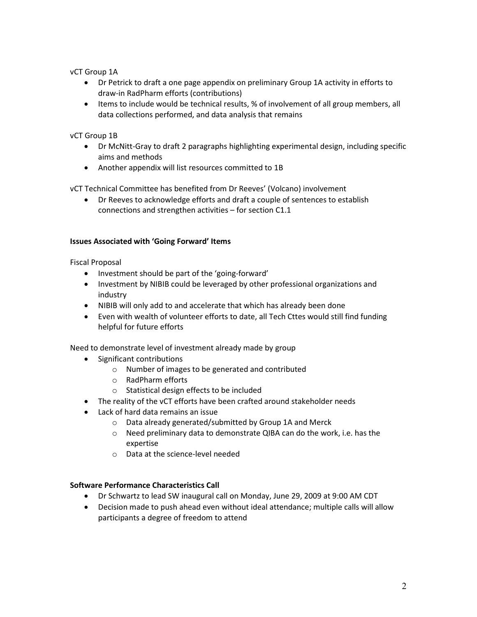vCT Group 1A

- Dr Petrick to draft a one page appendix on preliminary Group 1A activity in efforts to draw-in RadPharm efforts (contributions)
- Items to include would be technical results, % of involvement of all group members, all data collections performed, and data analysis that remains

## vCT Group 1B

- Dr McNitt-Gray to draft 2 paragraphs highlighting experimental design, including specific aims and methods
- Another appendix will list resources committed to 1B

vCT Technical Committee has benefited from Dr Reeves' (Volcano) involvement

• Dr Reeves to acknowledge efforts and draft a couple of sentences to establish connections and strengthen activities – for section C1.1

### Issues Associated with 'Going Forward' Items

Fiscal Proposal

- Investment should be part of the 'going-forward'
- Investment by NIBIB could be leveraged by other professional organizations and industry
- NIBIB will only add to and accelerate that which has already been done
- Even with wealth of volunteer efforts to date, all Tech Cttes would still find funding helpful for future efforts

Need to demonstrate level of investment already made by group

- Significant contributions
	- o Number of images to be generated and contributed
	- o RadPharm efforts
	- o Statistical design effects to be included
- The reality of the vCT efforts have been crafted around stakeholder needs
- Lack of hard data remains an issue
	- o Data already generated/submitted by Group 1A and Merck
	- o Need preliminary data to demonstrate QIBA can do the work, i.e. has the expertise
	- o Data at the science-level needed

### Software Performance Characteristics Call

- Dr Schwartz to lead SW inaugural call on Monday, June 29, 2009 at 9:00 AM CDT
- Decision made to push ahead even without ideal attendance; multiple calls will allow participants a degree of freedom to attend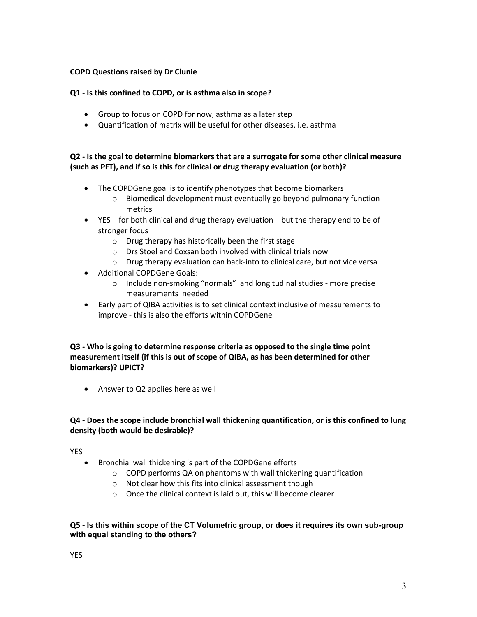## COPD Questions raised by Dr Clunie

### Q1 - Is this confined to COPD, or is asthma also in scope?

- Group to focus on COPD for now, asthma as a later step
- Quantification of matrix will be useful for other diseases, i.e. asthma

# Q2 - Is the goal to determine biomarkers that are a surrogate for some other clinical measure (such as PFT), and if so is this for clinical or drug therapy evaluation (or both)?

- The COPDGene goal is to identify phenotypes that become biomarkers
	- o Biomedical development must eventually go beyond pulmonary function metrics
- YES for both clinical and drug therapy evaluation but the therapy end to be of stronger focus
	- o Drug therapy has historically been the first stage
	- o Drs Stoel and Coxsan both involved with clinical trials now
	- o Drug therapy evaluation can back-into to clinical care, but not vice versa
- Additional COPDGene Goals:
	- o Include non-smoking "normals" and longitudinal studies more precise measurements needed
- Early part of QIBA activities is to set clinical context inclusive of measurements to improve - this is also the efforts within COPDGene

# Q3 - Who is going to determine response criteria as opposed to the single time point measurement itself (if this is out of scope of QIBA, as has been determined for other biomarkers)? UPICT?

• Answer to Q2 applies here as well

# Q4 - Does the scope include bronchial wall thickening quantification, or is this confined to lung density (both would be desirable)?

# YES

- Bronchial wall thickening is part of the COPDGene efforts
	- $\circ$  COPD performs QA on phantoms with wall thickening quantification
	- o Not clear how this fits into clinical assessment though
	- o Once the clinical context is laid out, this will become clearer

## Q5 - Is this within scope of the CT Volumetric group, or does it requires its own sub-group with equal standing to the others?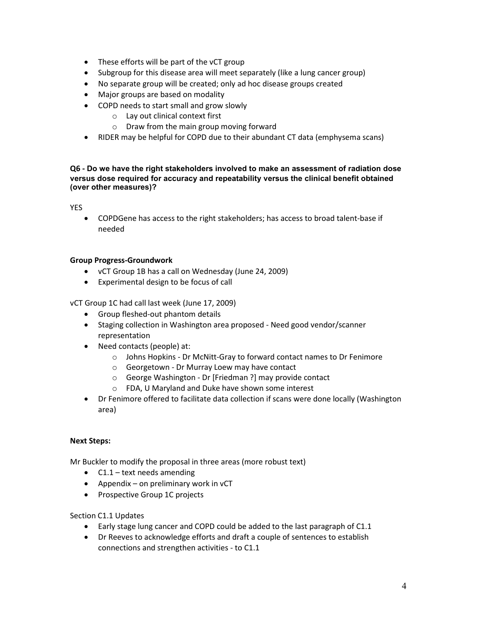- These efforts will be part of the vCT group
- Subgroup for this disease area will meet separately (like a lung cancer group)
- No separate group will be created; only ad hoc disease groups created
- Major groups are based on modality
- COPD needs to start small and grow slowly
	- o Lay out clinical context first
	- o Draw from the main group moving forward
- RIDER may be helpful for COPD due to their abundant CT data (emphysema scans)

#### Q6 - Do we have the right stakeholders involved to make an assessment of radiation dose versus dose required for accuracy and repeatability versus the clinical benefit obtained (over other measures)?

YES

• COPDGene has access to the right stakeholders; has access to broad talent-base if needed

#### Group Progress-Groundwork

- vCT Group 1B has a call on Wednesday (June 24, 2009)
- Experimental design to be focus of call

vCT Group 1C had call last week (June 17, 2009)

- Group fleshed-out phantom details
- Staging collection in Washington area proposed Need good vendor/scanner representation
- Need contacts (people) at:
	- o Johns Hopkins Dr McNitt-Gray to forward contact names to Dr Fenimore
	- o Georgetown Dr Murray Loew may have contact
	- o George Washington Dr [Friedman ?] may provide contact
	- o FDA, U Maryland and Duke have shown some interest
- Dr Fenimore offered to facilitate data collection if scans were done locally (Washington area)

### Next Steps:

Mr Buckler to modify the proposal in three areas (more robust text)

- $\bullet$  C1.1 text needs amending
- Appendix on preliminary work in vCT
- Prospective Group 1C projects

Section C1.1 Updates

- Early stage lung cancer and COPD could be added to the last paragraph of C1.1
- Dr Reeves to acknowledge efforts and draft a couple of sentences to establish connections and strengthen activities - to C1.1